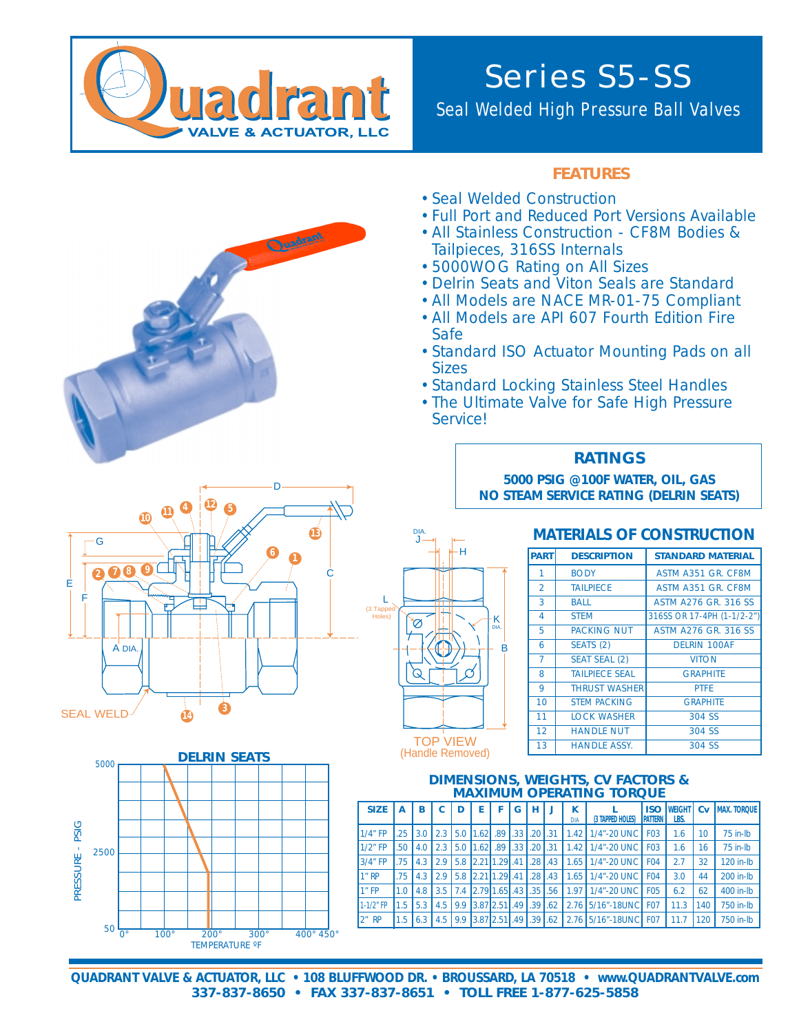

# Series S5-SS

## Seal Welded High Pressure Ball Valves

#### **FEATURES**

- •Seal Welded Construction
- •Full Port and Reduced Port Versions Available
- •All Stainless Construction CF8M Bodies & Tailpieces, 316SS Internals
- •5000WOG Rating on All Sizes
- •Delrin Seats and Viton Seals are Standard
- •All Models are NACE MR-01-75 Compliant
- •All Models are API 607 Fourth Edition Fire Safe
- •Standard ISO Actuator Mounting Pads on all **Sizes**
- •Standard Locking Stainless Steel Handles
- •The Ultimate Valve for Safe High Pressure Service!

#### **RATINGS**

**5000 PSIG @100F WATER, OIL, GAS NO STEAM SERVICE RATING (DELRIN SEATS)**

### **MATERIALS OF CONSTRUCTION**

| <b>PART</b>    | <b>DESCRIPTION</b>    | <b>STANDARD MATERIAL</b>     |
|----------------|-----------------------|------------------------------|
| 1              | <b>BODY</b>           | ASTM A351 GR. CF8M           |
| $\overline{2}$ | <b>TAILPIECE</b>      | ASTM A351 GR. CF8M           |
| 3              | <b>BALL</b>           | <b>ASTM A276 GR. 316 SS.</b> |
| 4              | <b>STEM</b>           | 316SS OR 17-4PH (1-1/2-2")   |
| 5              | <b>PACKING NUT</b>    | <b>ASTM A276 GR. 316 SS</b>  |
| 6              | SEATS (2)             | <b>DELRIN 100AF</b>          |
| $\overline{7}$ | <b>SEAT SEAL (2)</b>  | <b>VITON</b>                 |
| 8              | <b>TAILPIECE SEAL</b> | <b>GRAPHITE</b>              |
| 9              | <b>THRUST WASHER</b>  | <b>PTFF</b>                  |
| 10             | <b>STEM PACKING</b>   | <b>GRAPHITE</b>              |
| 11             | <b>LOCK WASHER</b>    | 304 SS                       |
| 12             | <b>HANDLE NUT</b>     | 304 SS                       |
| 13             | <b>HANDLE ASSY.</b>   | 304 SS                       |









DIA.

(Handle Removed)

#### **DIMENSIONS, WEIGHTS, CV FACTORS & MAXIMUM OPERATING TORQUE**

| <b>SIZE</b>    | А   | в                |                | D   | F                        | F   | G      | н    | J    | к<br>DIA | (3 TAPPED HOLES)     | <b>ISO</b><br><b>PATTERN</b> | <b>WEIGHT</b><br>LBS. | Cv  | <b>MAX. TORQUE</b> |
|----------------|-----|------------------|----------------|-----|--------------------------|-----|--------|------|------|----------|----------------------|------------------------------|-----------------------|-----|--------------------|
| $1/4$ " FP     | .25 | 3.0 <sub>1</sub> | $2.3 \text{ }$ |     | 5.0 1.62 .89 .33 .20 .31 |     |        |      |      |          | 1.42 1/4"-20 UNC     | <b>FO3</b>                   | 1.6                   | 10  | $75$ in-Ib         |
| $1/2$ " FP     | .50 | 4.0              | 2.3            |     | $5.0$   $1.62$           | .89 | I.33 I | .20  | l.31 |          | 1.42   1/4"-20 UNC   | <b>FO3</b>                   | 1.6                   | 16  | $75$ in- $lb$      |
| $3/4$ " FP     | .75 | 4.3              | 2.9            |     | 5.8 2.21 1.29 41         |     |        | .28  | .43  | 1.65     | 1/4"-20 UNC          | F <sub>O</sub> 4             | 2.7                   | 32  | 120 in-lb          |
| 1"RP           | .75 | 4.3              | 2.9            |     | 5.8 2.21 1.29 41         |     |        | .28  | .43  |          | 1.65   1/4"-20 UNC   | F <sub>O</sub> 4             | 3.0                   | 44  | 200 in-lb          |
| $1n$ FP        | 1.0 | 4.8              | 3.5            |     | 7.4 2.79 1.65 .43 .35    |     |        |      | .56  | 1.971    | 1/4"-20 UNC          | <b>FO5</b>                   | 6.2                   | 62  | 400 in-lb          |
| $1 - 1/2$ " FP | 1.5 | 5.3              | 4.5            | 9.9 | $3.87$   $2.51$   $.49$  |     |        | 1.39 | 1.62 |          | 2.76 5/16"-18UNC     | F <sub>07</sub>              | 11.3                  | 140 | 750 in-lb          |
| $2n$ RP        | 1.5 | 6.3              | 4.5            |     | 9.9 3.87 2.51 49 39 1.62 |     |        |      |      |          | 2.76 5/16"-18UNC F07 |                              | 11.7                  | 120 | 750 in-lb          |

**QUADRANT VALVE & ACTUATOR, LLC • 108 BLUFFWOOD DR. • BROUSSARD, LA 70518 • www.QUADRANTVALVE.com 337-837-8650 • FAX 337-837-8651 • TOLL FREE 1-877-625-5858**